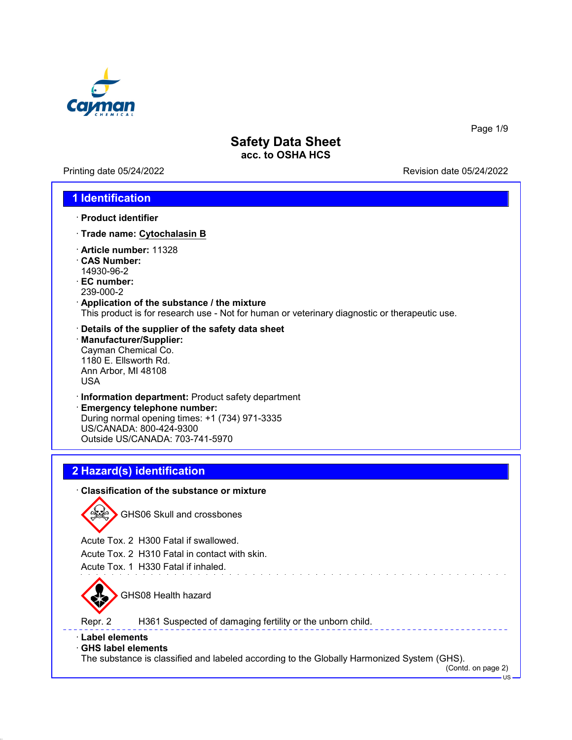

Printing date 05/24/2022 Revision date 05/24/2022

Page 1/9

## **1 Identification**

- · **Product identifier**
- · **Trade name: Cytochalasin B**
- · **Article number:** 11328
- · **CAS Number:** 14930-96-2
- · **EC number:** 239-000-2
- · **Application of the substance / the mixture** This product is for research use - Not for human or veterinary diagnostic or therapeutic use.
- · **Details of the supplier of the safety data sheet** · **Manufacturer/Supplier:** Cayman Chemical Co. 1180 E. Ellsworth Rd. Ann Arbor, MI 48108 USA
- · **Information department:** Product safety department

· **Emergency telephone number:** During normal opening times: +1 (734) 971-3335 US/CANADA: 800-424-9300 Outside US/CANADA: 703-741-5970

# **2 Hazard(s) identification**

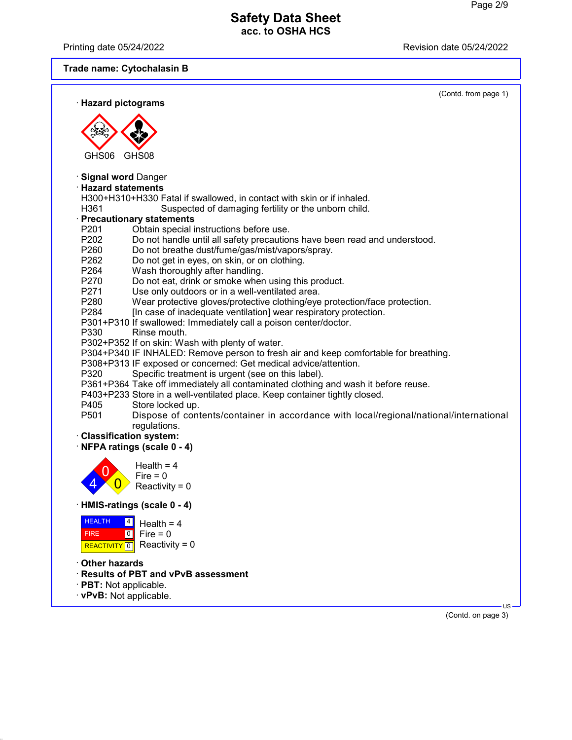Printing date 05/24/2022 Revision date 05/24/2022

# **Trade name: Cytochalasin B**

| · Hazard pictograms                                                                            | (Contd. from page 1) |
|------------------------------------------------------------------------------------------------|----------------------|
|                                                                                                |                      |
|                                                                                                |                      |
|                                                                                                |                      |
|                                                                                                |                      |
| GHS06<br>GHS08                                                                                 |                      |
|                                                                                                |                      |
| · Signal word Danger<br>· Hazard statements                                                    |                      |
| H300+H310+H330 Fatal if swallowed, in contact with skin or if inhaled.                         |                      |
| H361<br>Suspected of damaging fertility or the unborn child.                                   |                      |
| · Precautionary statements                                                                     |                      |
| P <sub>201</sub><br>Obtain special instructions before use.                                    |                      |
| P202<br>Do not handle until all safety precautions have been read and understood.              |                      |
| P260<br>Do not breathe dust/fume/gas/mist/vapors/spray.                                        |                      |
| P262<br>Do not get in eyes, on skin, or on clothing.                                           |                      |
| P264<br>Wash thoroughly after handling.                                                        |                      |
| P270<br>Do not eat, drink or smoke when using this product.                                    |                      |
| P271<br>Use only outdoors or in a well-ventilated area.                                        |                      |
| P280<br>Wear protective gloves/protective clothing/eye protection/face protection.             |                      |
| P <sub>2</sub> 84<br>[In case of inadequate ventilation] wear respiratory protection.          |                      |
| P301+P310 If swallowed: Immediately call a poison center/doctor.                               |                      |
| P330<br>Rinse mouth.<br>P302+P352 If on skin: Wash with plenty of water.                       |                      |
| P304+P340 IF INHALED: Remove person to fresh air and keep comfortable for breathing.           |                      |
| P308+P313 IF exposed or concerned: Get medical advice/attention.                               |                      |
| P320<br>Specific treatment is urgent (see on this label).                                      |                      |
| P361+P364 Take off immediately all contaminated clothing and wash it before reuse.             |                      |
| P403+P233 Store in a well-ventilated place. Keep container tightly closed.                     |                      |
| P405<br>Store locked up.                                                                       |                      |
| P501<br>Dispose of contents/container in accordance with local/regional/national/international |                      |
| regulations.                                                                                   |                      |
| · Classification system:                                                                       |                      |
| NFPA ratings (scale 0 - 4)                                                                     |                      |
| Health = $4$                                                                                   |                      |
| $Fire = 0$                                                                                     |                      |
| Reactivity = $0$                                                                               |                      |
|                                                                                                |                      |
| HMIS-ratings (scale 0 - 4)                                                                     |                      |
| <b>HEALTH</b><br> 4 <br>Health = $4$                                                           |                      |
| Fire = $0$<br>$\overline{10}$<br><b>FIRE</b>                                                   |                      |
| Reactivity = $0$<br>REACTIVITY <sup>0</sup>                                                    |                      |
|                                                                                                |                      |
| Other hazards                                                                                  |                      |
| Results of PBT and vPvB assessment                                                             |                      |
| · PBT: Not applicable.                                                                         |                      |
| · vPvB: Not applicable.                                                                        | $US -$               |
|                                                                                                | (Contd. on page 3)   |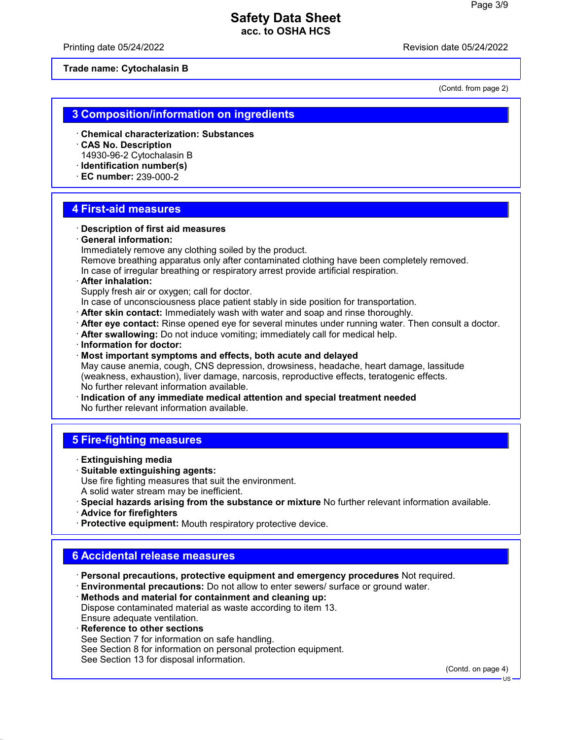Printing date 05/24/2022 Revision date 05/24/2022

**Trade name: Cytochalasin B**

(Contd. from page 2)

## **3 Composition/information on ingredients**

- · **Chemical characterization: Substances**
- · **CAS No. Description** 14930-96-2 Cytochalasin B
- · **Identification number(s)**
- · **EC number:** 239-000-2

## **4 First-aid measures**

· **Description of first aid measures**

### · **General information:**

Immediately remove any clothing soiled by the product.

Remove breathing apparatus only after contaminated clothing have been completely removed. In case of irregular breathing or respiratory arrest provide artificial respiration.

### · **After inhalation:**

Supply fresh air or oxygen; call for doctor.

In case of unconsciousness place patient stably in side position for transportation.

- · **After skin contact:** Immediately wash with water and soap and rinse thoroughly.
- · **After eye contact:** Rinse opened eye for several minutes under running water. Then consult a doctor.
- · **After swallowing:** Do not induce vomiting; immediately call for medical help.
- · **Information for doctor:**
- · **Most important symptoms and effects, both acute and delayed** May cause anemia, cough, CNS depression, drowsiness, headache, heart damage, lassitude

(weakness, exhaustion), liver damage, narcosis, reproductive effects, teratogenic effects. No further relevant information available.

· **Indication of any immediate medical attention and special treatment needed** No further relevant information available.

## **5 Fire-fighting measures**

- · **Extinguishing media**
- · **Suitable extinguishing agents:**

Use fire fighting measures that suit the environment.

- A solid water stream may be inefficient.
- · **Special hazards arising from the substance or mixture** No further relevant information available.
- · **Advice for firefighters**
- · **Protective equipment:** Mouth respiratory protective device.

## **6 Accidental release measures**

- · **Personal precautions, protective equipment and emergency procedures** Not required.
- · **Environmental precautions:** Do not allow to enter sewers/ surface or ground water.
- · **Methods and material for containment and cleaning up:** Dispose contaminated material as waste according to item 13. Ensure adequate ventilation.
- · **Reference to other sections**

See Section 7 for information on safe handling.

- See Section 8 for information on personal protection equipment.
- See Section 13 for disposal information.

(Contd. on page 4)

US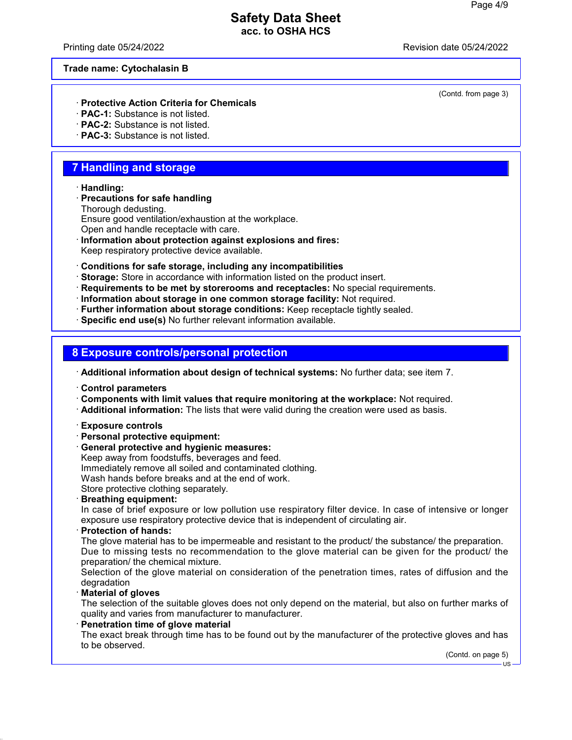Printing date 05/24/2022 Revision date 05/24/2022

### **Trade name: Cytochalasin B**

### · **Protective Action Criteria for Chemicals**

- · **PAC-1:** Substance is not listed.
- · **PAC-2:** Substance is not listed.
- · **PAC-3:** Substance is not listed.

## **7 Handling and storage**

### · **Handling:**

- · **Precautions for safe handling** Thorough dedusting. Ensure good ventilation/exhaustion at the workplace.
- Open and handle receptacle with care.
- · **Information about protection against explosions and fires:**

Keep respiratory protective device available.

- · **Conditions for safe storage, including any incompatibilities**
- · **Storage:** Store in accordance with information listed on the product insert.
- · **Requirements to be met by storerooms and receptacles:** No special requirements.
- · **Information about storage in one common storage facility:** Not required.
- · **Further information about storage conditions:** Keep receptacle tightly sealed.
- · **Specific end use(s)** No further relevant information available.

## **8 Exposure controls/personal protection**

- · **Additional information about design of technical systems:** No further data; see item 7.
- · **Control parameters**
- · **Components with limit values that require monitoring at the workplace:** Not required.
- · **Additional information:** The lists that were valid during the creation were used as basis.
- · **Exposure controls**
- · **Personal protective equipment:**
- · **General protective and hygienic measures:**
- Keep away from foodstuffs, beverages and feed. Immediately remove all soiled and contaminated clothing. Wash hands before breaks and at the end of work. Store protective clothing separately.
- · **Breathing equipment:**

In case of brief exposure or low pollution use respiratory filter device. In case of intensive or longer exposure use respiratory protective device that is independent of circulating air.

· **Protection of hands:**

The glove material has to be impermeable and resistant to the product/ the substance/ the preparation. Due to missing tests no recommendation to the glove material can be given for the product/ the preparation/ the chemical mixture.

Selection of the glove material on consideration of the penetration times, rates of diffusion and the degradation

· **Material of gloves**

The selection of the suitable gloves does not only depend on the material, but also on further marks of quality and varies from manufacturer to manufacturer.

**Penetration time of glove material** 

The exact break through time has to be found out by the manufacturer of the protective gloves and has to be observed.

(Contd. on page 5)

(Contd. from page 3)

US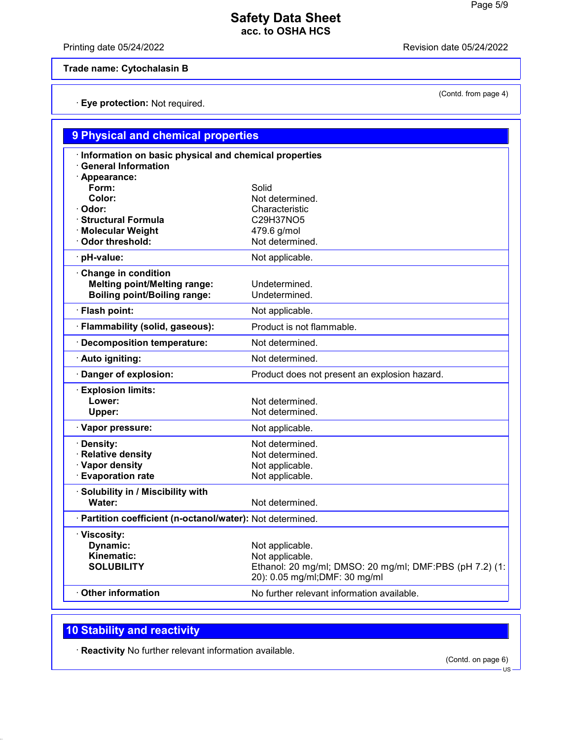Printing date 05/24/2022 **Revision date 05/24/2022** 

(Contd. from page 4)

**Trade name: Cytochalasin B**

· **Eye protection:** Not required.

| 9 Physical and chemical properties                         |                                                         |  |  |
|------------------------------------------------------------|---------------------------------------------------------|--|--|
| Information on basic physical and chemical properties      |                                                         |  |  |
| <b>General Information</b>                                 |                                                         |  |  |
| · Appearance:                                              |                                                         |  |  |
| Form:                                                      | Solid                                                   |  |  |
| Color:                                                     | Not determined.                                         |  |  |
| · Odor:                                                    | Characteristic                                          |  |  |
| <b>Structural Formula</b>                                  | C29H37NO5                                               |  |  |
| <b>Molecular Weight</b>                                    | 479.6 g/mol                                             |  |  |
| Odor threshold:                                            | Not determined.                                         |  |  |
| · pH-value:                                                | Not applicable.                                         |  |  |
| Change in condition                                        |                                                         |  |  |
| <b>Melting point/Melting range:</b>                        | Undetermined.                                           |  |  |
| <b>Boiling point/Boiling range:</b>                        | Undetermined.                                           |  |  |
| · Flash point:                                             | Not applicable.                                         |  |  |
| · Flammability (solid, gaseous):                           | Product is not flammable.                               |  |  |
| · Decomposition temperature:                               | Not determined.                                         |  |  |
| · Auto igniting:                                           | Not determined.                                         |  |  |
| Danger of explosion:                                       | Product does not present an explosion hazard.           |  |  |
| <b>Explosion limits:</b>                                   |                                                         |  |  |
| Lower:                                                     | Not determined.                                         |  |  |
| Upper:                                                     | Not determined.                                         |  |  |
| · Vapor pressure:                                          | Not applicable.                                         |  |  |
| · Density:                                                 | Not determined.                                         |  |  |
| · Relative density                                         | Not determined.                                         |  |  |
| · Vapor density                                            | Not applicable.                                         |  |  |
| <b>Evaporation rate</b>                                    | Not applicable.                                         |  |  |
| · Solubility in / Miscibility with                         |                                                         |  |  |
| Water:                                                     | Not determined.                                         |  |  |
| · Partition coefficient (n-octanol/water): Not determined. |                                                         |  |  |
| · Viscosity:                                               |                                                         |  |  |
| <b>Dynamic:</b>                                            | Not applicable.                                         |  |  |
| Kinematic:                                                 | Not applicable.                                         |  |  |
| <b>SOLUBILITY</b>                                          | Ethanol: 20 mg/ml; DMSO: 20 mg/ml; DMF:PBS (pH 7.2) (1: |  |  |
|                                                            | 20): 0.05 mg/ml;DMF: 30 mg/ml                           |  |  |
| <b>Other information</b>                                   | No further relevant information available.              |  |  |
|                                                            |                                                         |  |  |

# **10 Stability and reactivity**

· **Reactivity** No further relevant information available.

(Contd. on page 6)

US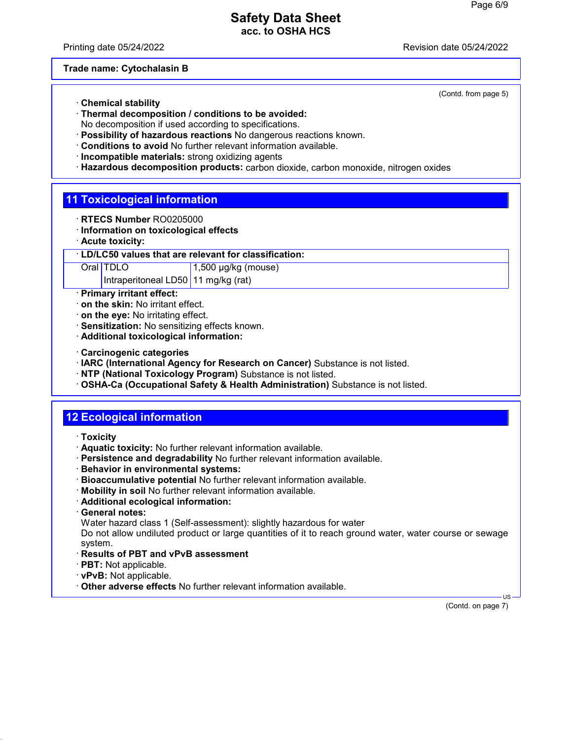Printing date 05/24/2022 Revision date 05/24/2022

**Trade name: Cytochalasin B**

- · **Chemical stability**
- · **Thermal decomposition / conditions to be avoided:** No decomposition if used according to specifications.
- · **Possibility of hazardous reactions** No dangerous reactions known.
- · **Conditions to avoid** No further relevant information available.
- · **Incompatible materials:** strong oxidizing agents
- · **Hazardous decomposition products:** carbon dioxide, carbon monoxide, nitrogen oxides

## **11 Toxicological information**

- · **RTECS Number** RO0205000
- · **Information on toxicological effects**
- · **Acute toxicity:**

### · **LD/LC50 values that are relevant for classification:**

Oral TDLO 1,500 µg/kg (mouse)

Intraperitoneal LD50 11 mg/kg (rat)

- · **Primary irritant effect:**
- · **on the skin:** No irritant effect.
- · **on the eye:** No irritating effect.
- · **Sensitization:** No sensitizing effects known.
- · **Additional toxicological information:**
- · **Carcinogenic categories**
- · **IARC (International Agency for Research on Cancer)** Substance is not listed.
- · **NTP (National Toxicology Program)** Substance is not listed.
- · **OSHA-Ca (Occupational Safety & Health Administration)** Substance is not listed.

# **12 Ecological information**

- · **Toxicity**
- · **Aquatic toxicity:** No further relevant information available.
- · **Persistence and degradability** No further relevant information available.
- · **Behavior in environmental systems:**
- · **Bioaccumulative potential** No further relevant information available.
- · **Mobility in soil** No further relevant information available.
- · **Additional ecological information:**
- · **General notes:**
- Water hazard class 1 (Self-assessment): slightly hazardous for water

Do not allow undiluted product or large quantities of it to reach ground water, water course or sewage system.

- · **Results of PBT and vPvB assessment**
- · **PBT:** Not applicable.
- · **vPvB:** Not applicable.
- · **Other adverse effects** No further relevant information available.

(Contd. on page 7)

US

(Contd. from page 5)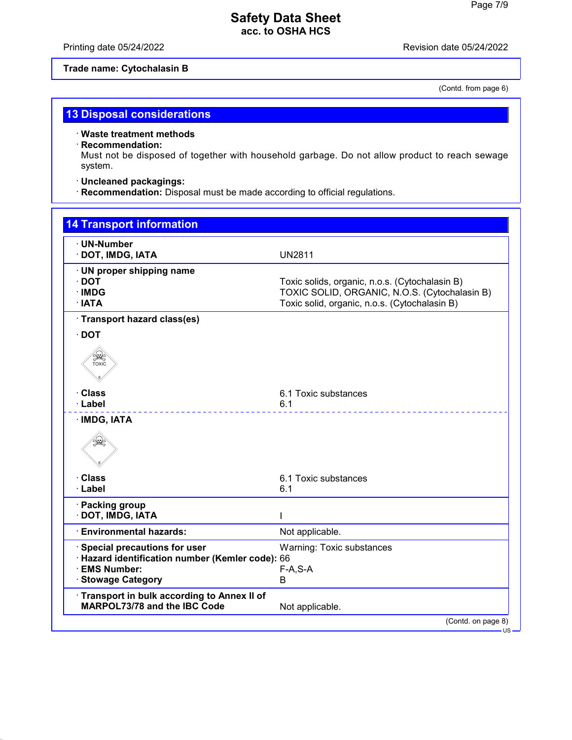Printing date 05/24/2022 **Revision date 05/24/2022** 

## **Trade name: Cytochalasin B**

(Contd. from page 6)

# **13 Disposal considerations**

### · **Waste treatment methods**

## · **Recommendation:**

Must not be disposed of together with household garbage. Do not allow product to reach sewage system.

## · **Uncleaned packagings:**

· **Recommendation:** Disposal must be made according to official regulations.

| <b>14 Transport information</b>                                                                                                |                                                                                                                                                  |
|--------------------------------------------------------------------------------------------------------------------------------|--------------------------------------------------------------------------------------------------------------------------------------------------|
| · UN-Number<br>· DOT, IMDG, IATA                                                                                               | <b>UN2811</b>                                                                                                                                    |
| · UN proper shipping name<br>$\cdot$ DOT<br>· IMDG<br>$\cdot$ IATA                                                             | Toxic solids, organic, n.o.s. (Cytochalasin B)<br>TOXIC SOLID, ORGANIC, N.O.S. (Cytochalasin B)<br>Toxic solid, organic, n.o.s. (Cytochalasin B) |
| · Transport hazard class(es)                                                                                                   |                                                                                                                                                  |
| $\cdot$ DOT                                                                                                                    |                                                                                                                                                  |
| <b>SEE</b>                                                                                                                     |                                                                                                                                                  |
| · Class                                                                                                                        | 6.1 Toxic substances                                                                                                                             |
| · Label                                                                                                                        | 6.1                                                                                                                                              |
| · IMDG, IATA<br>€                                                                                                              |                                                                                                                                                  |
| · Class                                                                                                                        | 6.1 Toxic substances                                                                                                                             |
| · Label                                                                                                                        | 6.1                                                                                                                                              |
| · Packing group<br>· DOT, IMDG, IATA                                                                                           |                                                                                                                                                  |
| <b>Environmental hazards:</b>                                                                                                  | Not applicable.                                                                                                                                  |
| · Special precautions for user<br>· Hazard identification number (Kemler code): 66<br>· EMS Number:<br><b>Stowage Category</b> | Warning: Toxic substances<br>$F-A, S-A$<br>B                                                                                                     |
| Transport in bulk according to Annex II of<br><b>MARPOL73/78 and the IBC Code</b>                                              | Not applicable.                                                                                                                                  |
|                                                                                                                                | (Contd. on page 8)                                                                                                                               |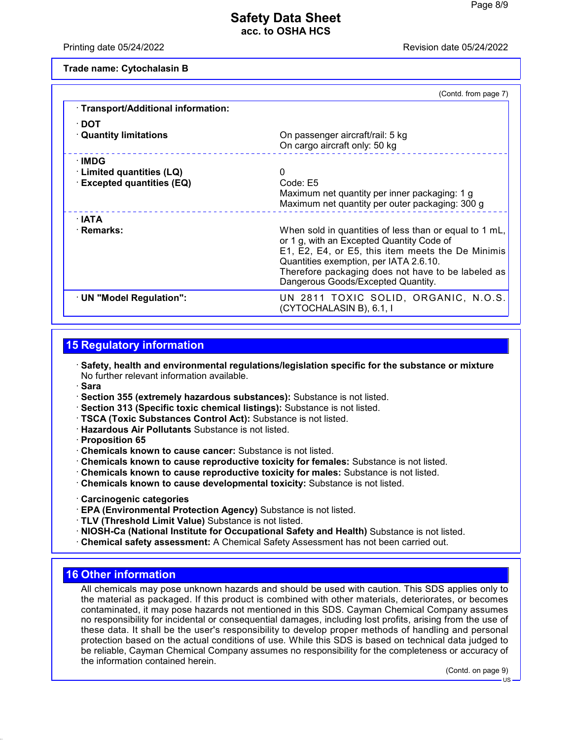Printing date 05/24/2022 Revision date 05/24/2022

**Trade name: Cytochalasin B**

|                                     | (Contd. from page 7)                                                                                                                                                                                                                                                                           |
|-------------------------------------|------------------------------------------------------------------------------------------------------------------------------------------------------------------------------------------------------------------------------------------------------------------------------------------------|
| · Transport/Additional information: |                                                                                                                                                                                                                                                                                                |
| ∙ DOT                               |                                                                                                                                                                                                                                                                                                |
| <b>Quantity limitations</b>         | On passenger aircraft/rail: 5 kg<br>On cargo aircraft only: 50 kg                                                                                                                                                                                                                              |
| ∴IMDG                               |                                                                                                                                                                                                                                                                                                |
| · Limited quantities (LQ)           | 0                                                                                                                                                                                                                                                                                              |
| · Excepted quantities (EQ)          | Code: E5                                                                                                                                                                                                                                                                                       |
|                                     | Maximum net quantity per inner packaging: 1 g                                                                                                                                                                                                                                                  |
|                                     | Maximum net quantity per outer packaging: 300 g                                                                                                                                                                                                                                                |
| ∴IATA                               |                                                                                                                                                                                                                                                                                                |
| · Remarks:                          | When sold in quantities of less than or equal to 1 mL,<br>or 1 g, with an Excepted Quantity Code of<br>E1, E2, E4, or E5, this item meets the De Minimis<br>Quantities exemption, per IATA 2.6.10.<br>Therefore packaging does not have to be labeled as<br>Dangerous Goods/Excepted Quantity. |
| · UN "Model Regulation":            | UN 2811 TOXIC SOLID, ORGANIC, N.O.S.<br>(CYTOCHALASIN B), 6.1, I                                                                                                                                                                                                                               |

# **15 Regulatory information**

· **Safety, health and environmental regulations/legislation specific for the substance or mixture** No further relevant information available.

- · **Sara**
- · **Section 355 (extremely hazardous substances):** Substance is not listed.
- · **Section 313 (Specific toxic chemical listings):** Substance is not listed.
- · **TSCA (Toxic Substances Control Act):** Substance is not listed.
- · **Hazardous Air Pollutants** Substance is not listed.
- · **Proposition 65**
- · **Chemicals known to cause cancer:** Substance is not listed.
- · **Chemicals known to cause reproductive toxicity for females:** Substance is not listed.
- · **Chemicals known to cause reproductive toxicity for males:** Substance is not listed.
- · **Chemicals known to cause developmental toxicity:** Substance is not listed.
- · **Carcinogenic categories**
- · **EPA (Environmental Protection Agency)** Substance is not listed.
- · **TLV (Threshold Limit Value)** Substance is not listed.
- · **NIOSH-Ca (National Institute for Occupational Safety and Health)** Substance is not listed.
- · **Chemical safety assessment:** A Chemical Safety Assessment has not been carried out.

## **16 Other information**

All chemicals may pose unknown hazards and should be used with caution. This SDS applies only to the material as packaged. If this product is combined with other materials, deteriorates, or becomes contaminated, it may pose hazards not mentioned in this SDS. Cayman Chemical Company assumes no responsibility for incidental or consequential damages, including lost profits, arising from the use of these data. It shall be the user's responsibility to develop proper methods of handling and personal protection based on the actual conditions of use. While this SDS is based on technical data judged to be reliable, Cayman Chemical Company assumes no responsibility for the completeness or accuracy of the information contained herein.

(Contd. on page 9)

US